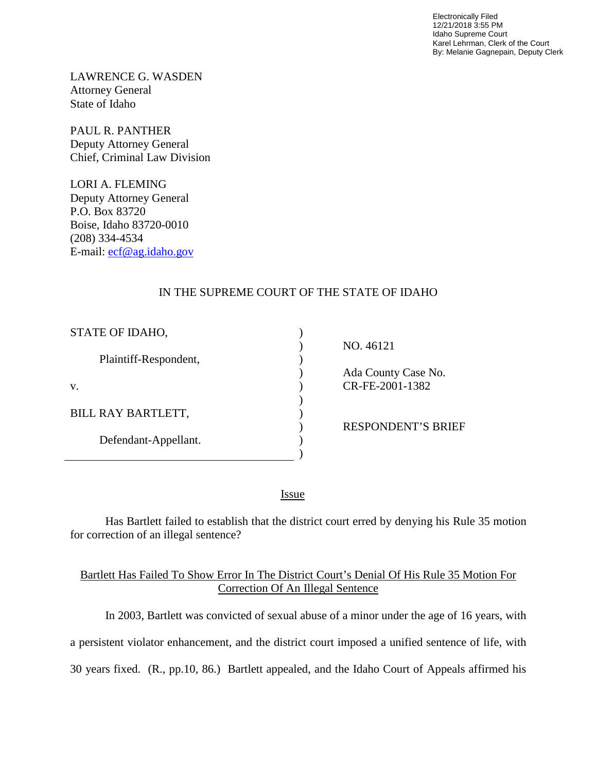Electronically Filed 12/21/2018 3:55 PM Idaho Supreme Court Karel Lehrman, Clerk of the Court By: Melanie Gagnepain, Deputy Clerk

LAWRENCE G. WASDEN Attorney General State of Idaho

PAUL R. PANTHER Deputy Attorney General Chief, Criminal Law Division

LORI A. FLEMING Deputy Attorney General P.O. Box 83720 Boise, Idaho 83720-0010 (208) 334-4534 E-mail: [ecf@ag.idaho.gov](mailto:ecf@ag.idaho.gov) 

## IN THE SUPREME COURT OF THE STATE OF IDAHO

| STATE OF IDAHO,           |                           |
|---------------------------|---------------------------|
|                           | NO. 46121                 |
| Plaintiff-Respondent,     |                           |
|                           | Ada County Case No.       |
| V.                        | CR-FE-2001-1382           |
|                           |                           |
| <b>BILL RAY BARTLETT,</b> |                           |
|                           | <b>RESPONDENT'S BRIEF</b> |
| Defendant-Appellant.      |                           |
|                           |                           |

<u>Issue</u>

Has Bartlett failed to establish that the district court erred by denying his Rule 35 motion for correction of an illegal sentence?

## Bartlett Has Failed To Show Error In The District Court's Denial Of His Rule 35 Motion For Correction Of An Illegal Sentence

 In 2003, Bartlett was convicted of sexual abuse of a minor under the age of 16 years, with a persistent violator enhancement, and the district court imposed a unified sentence of life, with 30 years fixed. (R., pp.10, 86.) Bartlett appealed, and the Idaho Court of Appeals affirmed his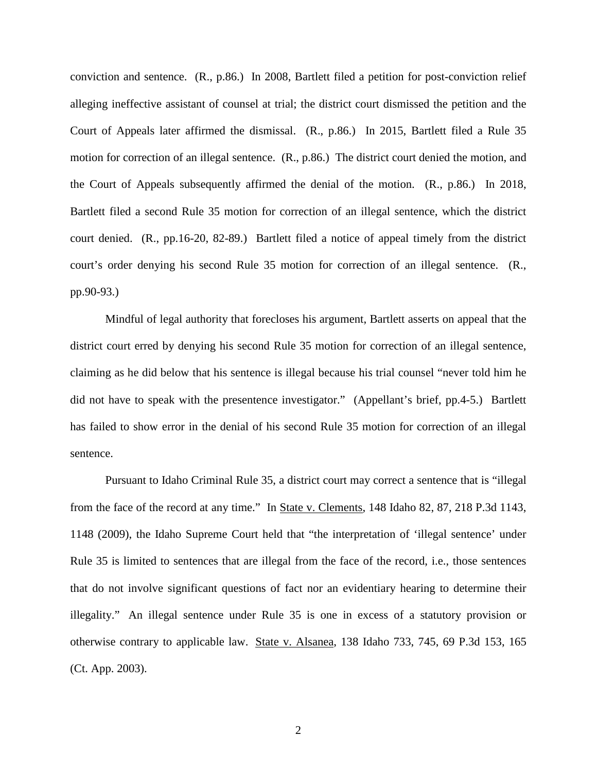conviction and sentence. (R., p.86.) In 2008, Bartlett filed a petition for post-conviction relief alleging ineffective assistant of counsel at trial; the district court dismissed the petition and the Court of Appeals later affirmed the dismissal. (R., p.86.) In 2015, Bartlett filed a Rule 35 motion for correction of an illegal sentence. (R., p.86.) The district court denied the motion, and the Court of Appeals subsequently affirmed the denial of the motion. (R., p.86.) In 2018, Bartlett filed a second Rule 35 motion for correction of an illegal sentence, which the district court denied. (R., pp.16-20, 82-89.) Bartlett filed a notice of appeal timely from the district court's order denying his second Rule 35 motion for correction of an illegal sentence. (R., pp.90-93.)

Mindful of legal authority that forecloses his argument, Bartlett asserts on appeal that the district court erred by denying his second Rule 35 motion for correction of an illegal sentence, claiming as he did below that his sentence is illegal because his trial counsel "never told him he did not have to speak with the presentence investigator." (Appellant's brief, pp.4-5.) Bartlett has failed to show error in the denial of his second Rule 35 motion for correction of an illegal sentence.

Pursuant to Idaho Criminal Rule 35, a district court may correct a sentence that is "illegal from the face of the record at any time." In State v. Clements, 148 Idaho 82, 87, 218 P.3d 1143, 1148 (2009), the Idaho Supreme Court held that "the interpretation of 'illegal sentence' under Rule 35 is limited to sentences that are illegal from the face of the record, i.e., those sentences that do not involve significant questions of fact nor an evidentiary hearing to determine their illegality." An illegal sentence under Rule 35 is one in excess of a statutory provision or otherwise contrary to applicable law. State v. Alsanea, 138 Idaho 733, 745, 69 P.3d 153, 165 (Ct. App. 2003).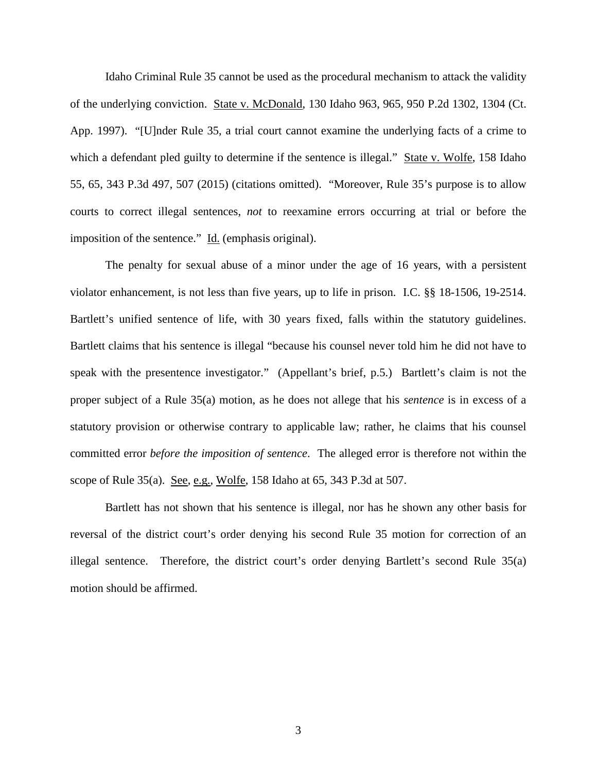Idaho Criminal Rule 35 cannot be used as the procedural mechanism to attack the validity of the underlying conviction. State v. McDonald, 130 Idaho 963, 965, 950 P.2d 1302, 1304 (Ct. App. 1997). "[U]nder [Rule 35,](http://www.westlaw.com/Link/Document/FullText?findType=L&pubNum=1006902&cite=IDRRCRPR35&originatingDoc=Ia88894a5b6eb11e4b86bd602cb8781fa&refType=LQ&originationContext=document&vr=3.0&rs=cblt1.0&transitionType=DocumentItem&contextData=(sc.UserEnteredCitation)) a trial court cannot examine the underlying facts of a crime to which a defendant pled guilty to determine if the sentence is illegal." State v. Wolfe, 158 Idaho 55, 65, 343 P.3d 497, 507 (2015) (citations omitted). "Moreover, [Rule 35'](http://www.westlaw.com/Link/Document/FullText?findType=L&pubNum=1006902&cite=IDRRCRPR35&originatingDoc=Ia88894a5b6eb11e4b86bd602cb8781fa&refType=LQ&originationContext=document&vr=3.0&rs=cblt1.0&transitionType=DocumentItem&contextData=(sc.UserEnteredCitation))s purpose is to allow courts to correct illegal sentences, *not* to reexamine errors occurring at trial or before the imposition of the sentence." Id. (emphasis original).

The penalty for sexual abuse of a minor under the age of 16 years, with a persistent violator enhancement, is not less than five years, up to life in prison. I.C. §§ 18-1506, 19-2514. Bartlett's unified sentence of life, with 30 years fixed, falls within the statutory guidelines. Bartlett claims that his sentence is illegal "because his counsel never told him he did not have to speak with the presentence investigator." (Appellant's brief, p.5.) Bartlett's claim is not the proper subject of a Rule 35(a) motion, as he does not allege that his *sentence* is in excess of a statutory provision or otherwise contrary to applicable law; rather, he claims that his counsel committed error *before the imposition of sentence*. The alleged error is therefore not within the scope of Rule 35(a). See, e.g., Wolfe, 158 Idaho at 65, 343 P.3d at 507.

Bartlett has not shown that his sentence is illegal, nor has he shown any other basis for reversal of the district court's order denying his second Rule 35 motion for correction of an illegal sentence. Therefore, the district court's order denying Bartlett's second Rule 35(a) motion should be affirmed.